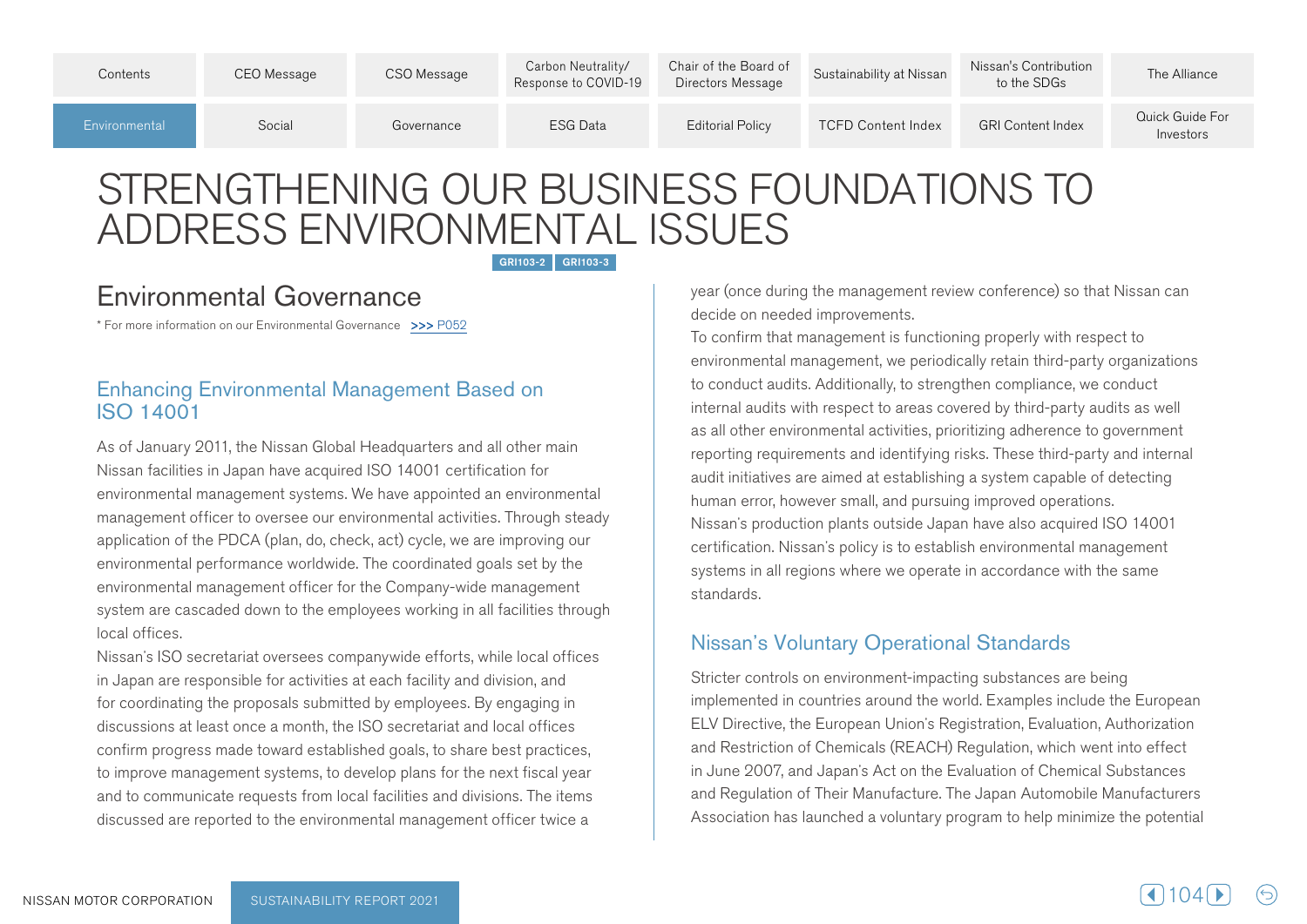| Contents      | CEO Message | CSO Message | Carbon Neutrality/<br>Response to COVID-19 | Chair of the Board of<br>Directors Message | Sustainability at Nissan  | Nissan's Contribution<br>to the SDGs | The Alliance                 |
|---------------|-------------|-------------|--------------------------------------------|--------------------------------------------|---------------------------|--------------------------------------|------------------------------|
| Environmental | Social      | Governance  | <b>ESG Data</b>                            | <b>Editorial Policy</b>                    | <b>TCFD Content Index</b> | <b>GRI Content Index</b>             | Quick Guide For<br>Investors |

# STRENGTHENING OUR BUSINESS FOUNDATIONS TO ADDRESS ENVIRONMENTAL ISSUES

GRI103-2 GRI103-3

## Environmental Governance

\* For more information on our Environmental Governance >>> P052

#### **Enhancing Environmental Management Based on ISO 14001**

As of January 2011, the Nissan Global Headquarters and all other main Nissan facilities in Japan have acquired ISO 14001 certification for environmental management systems. We have appointed an environmental management officer to oversee our environmental activities. Through steady application of the PDCA (plan, do, check, act) cycle, we are improving our environmental performance worldwide. The coordinated goals set by the environmental management officer for the Company-wide management system are cascaded down to the employees working in all facilities through local offices.

Nissan's ISO secretariat oversees companywide efforts, while local offices in Japan are responsible for activities at each facility and division, and for coordinating the proposals submitted by employees. By engaging in discussions at least once a month, the ISO secretariat and local offices confirm progress made toward established goals, to share best practices, to improve management systems, to develop plans for the next fiscal year and to communicate requests from local facilities and divisions. The items discussed are reported to the environmental management officer twice a

year (once during the management review conference) so that Nissan can decide on needed improvements.

To confirm that management is functioning properly with respect to environmental management, we periodically retain third-party organizations to conduct audits. Additionally, to strengthen compliance, we conduct internal audits with respect to areas covered by third-party audits as well as all other environmental activities, prioritizing adherence to government reporting requirements and identifying risks. These third-party and internal audit initiatives are aimed at establishing a system capable of detecting human error, however small, and pursuing improved operations. Nissan's production plants outside Japan have also acquired ISO 14001 certification. Nissan's policy is to establish environmental management systems in all regions where we operate in accordance with the same .standards

#### **Nissan's Voluntary Operational Standards**

Stricter controls on environment-impacting substances are being implemented in countries around the world. Examples include the European ELV Directive, the European Union's Registration, Evaluation, Authorization and Restriction of Chemicals (REACH) Regulation, which went into effect in June 2007, and Japan's Act on the Evaluation of Chemical Substances and Regulation of Their Manufacture. The Japan Automobile Manufacturers Association has launched a voluntary program to help minimize the potential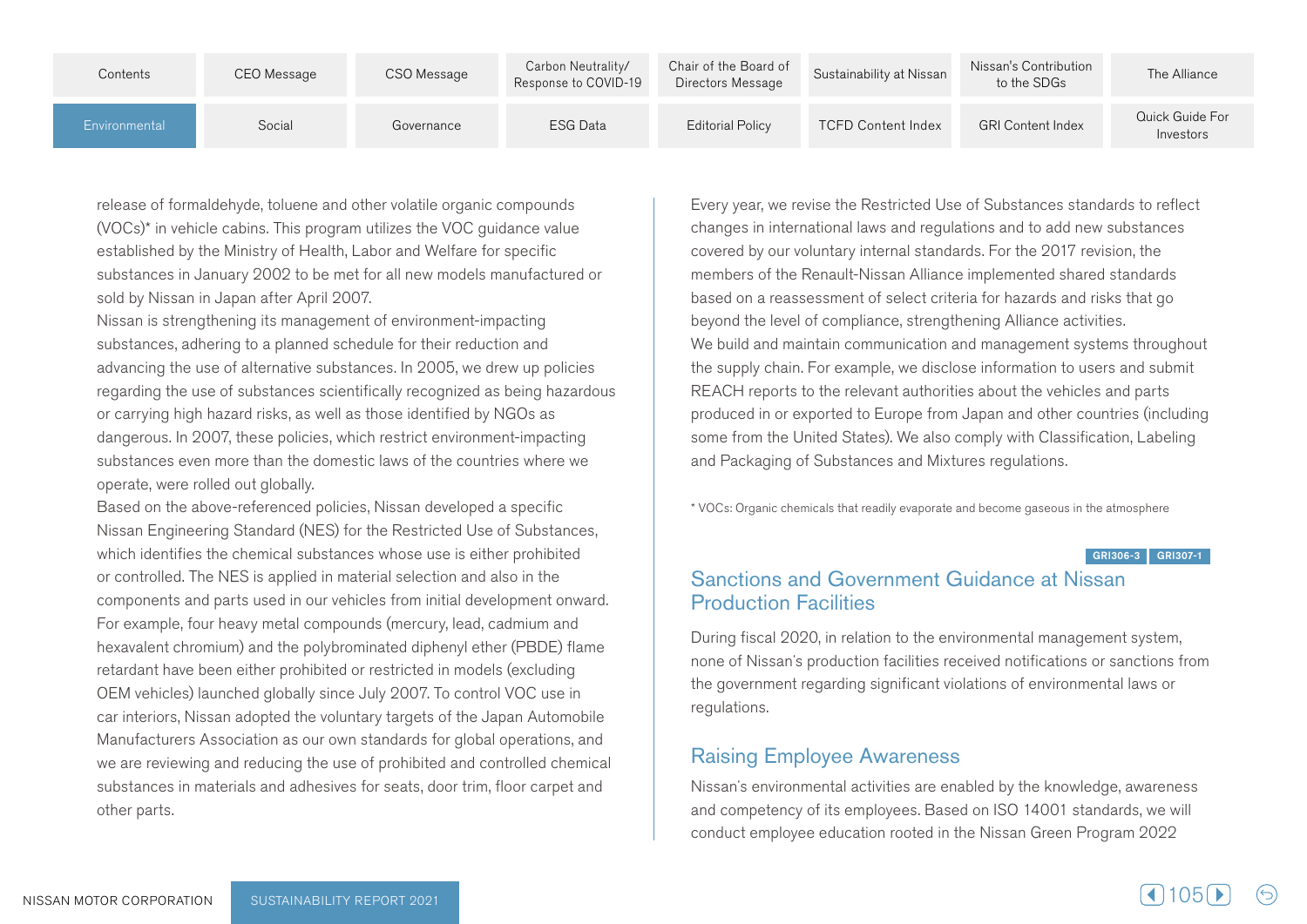| Contents      | CEO Message | CSO Message | Carbon Neutrality/<br>Response to COVID-19 | Chair of the Board of<br>Directors Message | Sustainability at Nissan  | Nissan's Contribution<br>to the SDGs | The Alliance                 |
|---------------|-------------|-------------|--------------------------------------------|--------------------------------------------|---------------------------|--------------------------------------|------------------------------|
| Environmental | Social      | Governance  | ESG Data                                   | <b>Editorial Policy</b>                    | <b>TCFD Content Index</b> | <b>GRI Content Index</b>             | Quick Guide For<br>Investors |

release of formaldehyde, toluene and other volatile organic compounds  $(VOCs)^*$  in vehicle cabins. This program utilizes the VOC guidance value established by the Ministry of Health, Labor and Welfare for specific substances in January 2002 to be met for all new models manufactured or sold by Nissan in Japan after April 2007.

Nissan is strengthening its management of environment-impacting substances, adhering to a planned schedule for their reduction and advancing the use of alternative substances. In 2005, we drew up policies regarding the use of substances scientifically recognized as being hazardous or carrying high hazard risks, as well as those identified by NGOs as dangerous. In 2007, these policies, which restrict environment-impacting substances even more than the domestic laws of the countries where we operate, were rolled out globally.

Based on the above-referenced policies, Nissan developed a specific Nissan Engineering Standard (NES) for the Restricted Use of Substances, which identifies the chemical substances whose use is either prohibited or controlled. The NES is applied in material selection and also in the components and parts used in our vehicles from initial development onward. For example, four heavy metal compounds (mercury, lead, cadmium and hexavalent chromium) and the polybrominated diphenyl ether (PBDE) flame retardant have been either prohibited or restricted in models (excluding OEM vehicles) launched globally since July 2007. To control VOC use in car interiors, Nissan adopted the voluntary targets of the Japan Automobile Manufacturers Association as our own standards for global operations, and we are reviewing and reducing the use of prohibited and controlled chemical substances in materials and adhesives for seats, door trim, floor carpet and other parts.

Every year, we revise the Restricted Use of Substances standards to reflect changes in international laws and regulations and to add new substances covered by our voluntary internal standards. For the 2017 revision, the members of the Renault-Nissan Alliance implemented shared standards based on a reassessment of select criteria for hazards and risks that go beyond the level of compliance, strengthening Alliance activities. We build and maintain communication and management systems throughout the supply chain. For example, we disclose information to users and submit REACH reports to the relevant authorities about the vehicles and parts produced in or exported to Europe from Japan and other countries (including some from the United States). We also comply with Classification, Labeling and Packaging of Substances and Mixtures regulations.

\* VOCs: Organic chemicals that readily evaporate and become gaseous in the atmosphere

#### $GRI 306-3$  GRI 307-1

#### Sanctions and Government Guidance at Nissan **Production Facilities**

During fiscal 2020, in relation to the environmental management system, none of Nissan's production facilities received notifications or sanctions from the government regarding significant violations of environmental laws or .regulations

#### **Raising Employee Awareness**

Nissan's environmental activities are enabled by the knowledge, awareness and competency of its employees. Based on ISO 14001 standards, we will conduct employee education rooted in the Nissan Green Program 2022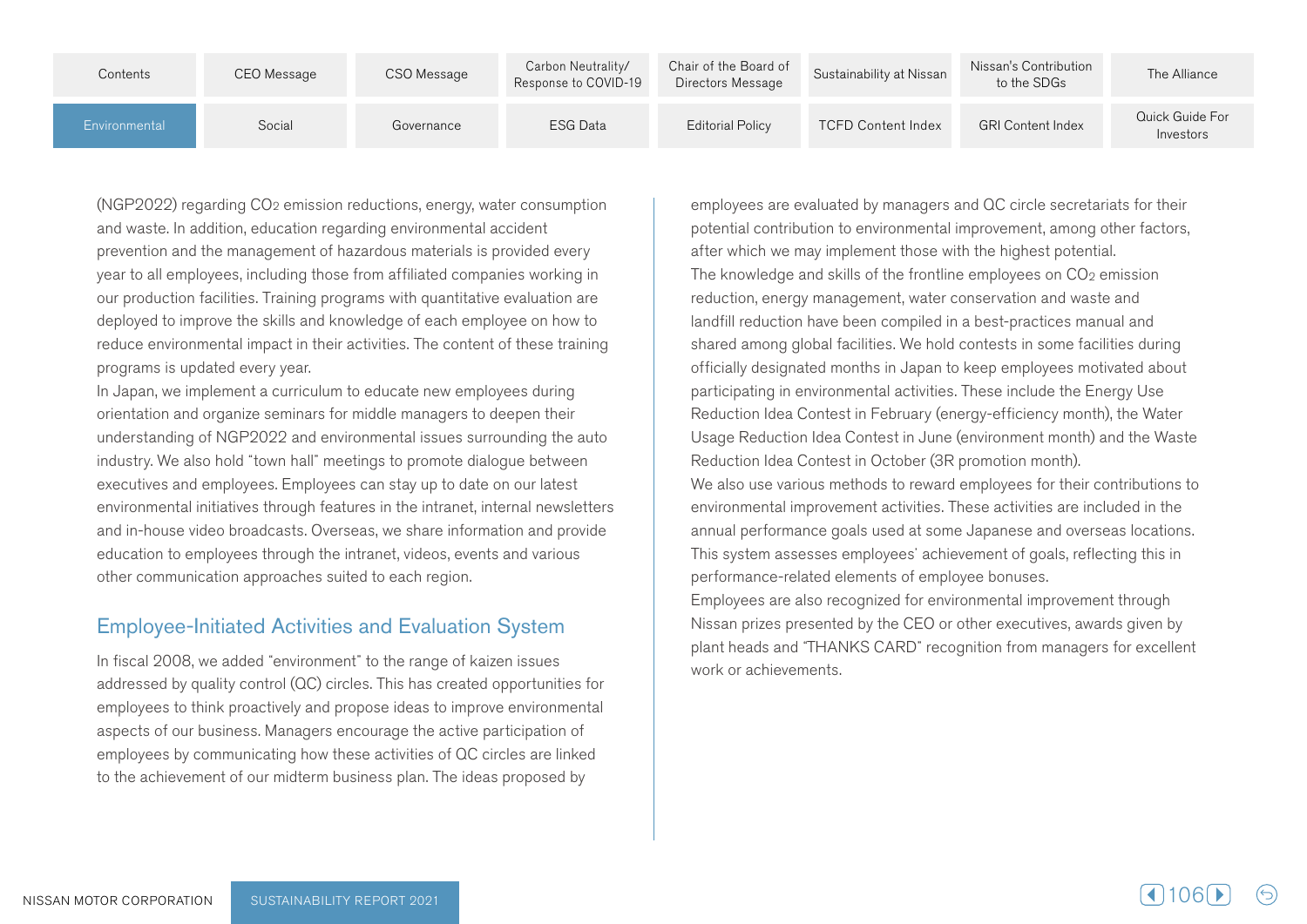| Contents      | CEO Message | CSO Message | Carbon Neutrality/<br>Response to COVID-19 | Chair of the Board of<br>Directors Message | Sustainability at Nissan  | Nissan's Contribution<br>to the SDGs | The Alliance                 |
|---------------|-------------|-------------|--------------------------------------------|--------------------------------------------|---------------------------|--------------------------------------|------------------------------|
| Environmental | Social      | Governance  | <b>ESG Data</b>                            | <b>Editorial Policy</b>                    | <b>TCFD Content Index</b> | <b>GRI Content Index</b>             | Quick Guide For<br>Investors |

(NGP2022) regarding  $CO<sub>2</sub>$  emission reductions, energy, water consumption and waste. In addition, education regarding environmental accident prevention and the management of hazardous materials is provided every year to all employees, including those from affiliated companies working in our production facilities. Training programs with quantitative evaluation are deployed to improve the skills and knowledge of each employee on how to reduce environmental impact in their activities. The content of these training programs is updated every year.

In Japan, we implement a curriculum to educate new employees during orientation and organize seminars for middle managers to deepen their understanding of NGP2022 and environmental issues surrounding the auto industry. We also hold "town hall" meetings to promote dialoque between executives and employees. Employees can stay up to date on our latest environmental initiatives through features in the intranet, internal newsletters and in-house video broadcasts. Overseas, we share information and provide education to employees through the intranet, videos, events and various other communication approaches suited to each region.

#### **Employee-Initiated Activities and Evaluation System**

In fiscal 2008, we added "environment" to the range of kaizen issues addressed by quality control (QC) circles. This has created opportunities for employees to think proactively and propose ideas to improve environmental aspects of our business. Managers encourage the active participation of employees by communicating how these activities of QC circles are linked to the achievement of our midterm business plan. The ideas proposed by

employees are evaluated by managers and QC circle secretariats for their potential contribution to environmental improvement, among other factors, after which we may implement those with the highest potential. The knowledge and skills of the frontline employees on  $CO<sub>2</sub>$  emission reduction, energy management, water conservation and waste and land fill reduction have been compiled in a best-practices manual and shared among global facilities. We hold contests in some facilities during officially designated months in Japan to keep employees motivated about participating in environmental activities. These include the Energy Use Reduction Idea Contest in February (energy-efficiency month), the Water Usage Reduction Idea Contest in June (environment month) and the Waste Reduction Idea Contest in October (3R promotion month). We also use various methods to reward employees for their contributions to environmental improvement activities. These activities are included in the annual performance goals used at some Japanese and overseas locations. This system assesses employees' achievement of goals, reflecting this in performance-related elements of employee bonuses. Employees are also recognized for environmental improvement through Nissan prizes presented by the CEO or other executives, awards given by plant heads and "THANKS CARD" recognition from managers for excellent work or achievements.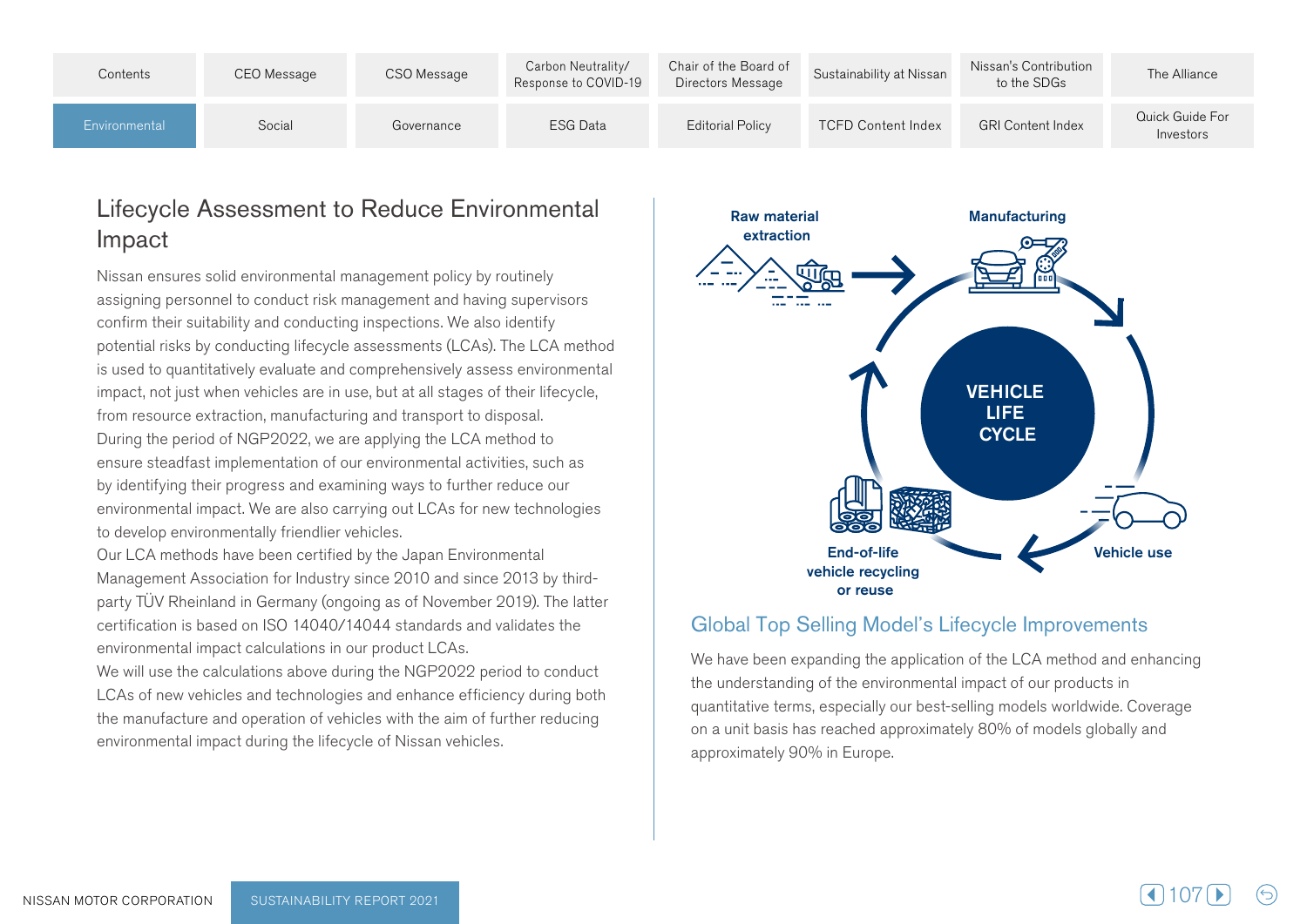| Contents      | CEO Message | CSO Message | Carbon Neutrality/<br>Response to COVID-19 | Chair of the Board of<br>Directors Message | Sustainability at Nissan  | Nissan's Contribution<br>to the SDGs | The Alliance                 |
|---------------|-------------|-------------|--------------------------------------------|--------------------------------------------|---------------------------|--------------------------------------|------------------------------|
| Environmental | Social      | Governance  | <b>ESG Data</b>                            | Editorial Policy                           | <b>TCFD Content Index</b> | <b>GRI Content Index</b>             | Quick Guide For<br>Investors |

## Lifecycle Assessment to Reduce Environmental Impact

Nissan ensures solid environmental management policy by routinely assigning personnel to conduct risk management and having supervisors confirm their suitability and conducting inspections. We also identify potential risks by conducting lifecycle assessments (LCAs). The LCA method is used to quantitatively evaluate and comprehensively assess environmental impact, not just when vehicles are in use, but at all stages of their lifecycle, from resource extraction, manufacturing and transport to disposal. During the period of NGP2022, we are applying the LCA method to ensure steadfast implementation of our environmental activities, such as by identifying their progress and examining ways to further reduce our environmental impact. We are also carrying out LCAs for new technologies to develop environmentally friendlier vehicles.

Our LCA methods have been certified by the Japan Environmental party TÜV Rheinland in Germany (ongoing as of November 2019). The latter Management Association for Industry since 2010 and since 2013 by third $t$  certification is based on ISO 14040/14044 standards and validates the environmental impact calculations in our product LCAs.

We will use the calculations above during the NGP2022 period to conduct LCAs of new vehicles and technologies and enhance efficiency during both the manufacture and operation of vehicles with the aim of further reducing environmental impact during the lifecycle of Nissan vehicles.



#### Global Top Selling Model's Lifecycle Improvements

We have been expanding the application of the LCA method and enhancing the understanding of the environmental impact of our products in quantitative terms, especially our best-selling models worldwide. Coverage on a unit basis has reached approximately 80% of models globally and approximately 90% in Europe.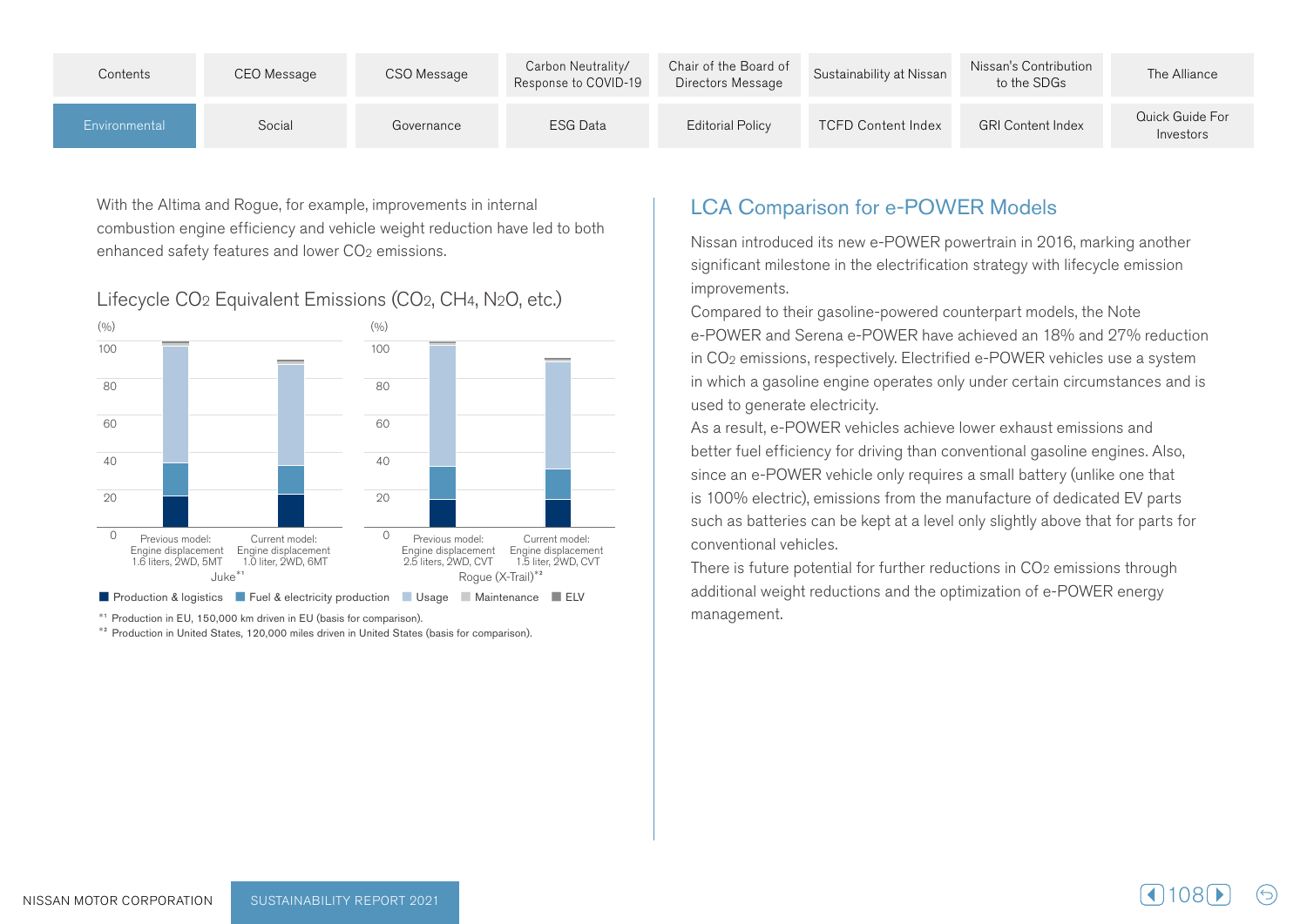| Contents      | CEO Message | CSO Message | Carbon Neutrality/<br>Response to COVID-19 | Chair of the Board of<br>Directors Message | Sustainability at Nissan  | Nissan's Contribution<br>to the SDGs | The Alliance                 |
|---------------|-------------|-------------|--------------------------------------------|--------------------------------------------|---------------------------|--------------------------------------|------------------------------|
| Environmental | Social      | Governance  | <b>ESG Data</b>                            | <b>Editorial Policy</b>                    | <b>TCFD Content Index</b> | <b>GRI Content Index</b>             | Quick Guide For<br>Investors |

With the Altima and Rogue, for example, improvements in internal combustion engine efficiency and vehicle weight reduction have led to both enhanced safety features and lower CO<sub>2</sub> emissions.

#### Lifecycle CO<sub>2</sub> Equivalent Emissions (CO<sub>2</sub>, CH<sub>4</sub>, N<sub>2</sub>O<sub>,</sub> etc.)



at Production in EU, 150,000 km driven in EU (basis for comparison).<br><sup>\*2</sup> Production in United States. 120.000 miles driven in United States (basis for comparison).

## **LCA Comparison for e-POWER Models**

Nissan introduced its new e-POWER powertrain in 2016, marking another significant milestone in the electrification strategy with lifecycle emission .improvements

Compared to their gasoline-powered counterpart models, the Note e-POWER and Serena e-POWER have achieved an 18% and 27% reduction in CO<sub>2</sub> emissions, respectively. Electrified e-POWER vehicles use a system in which a gasoline engine operates only under certain circumstances and is used to generate electricity.

As a result, e-POWER vehicles achieve lower exhaust emissions and better fuel efficiency for driving than conventional gasoline engines. Also, since an e-POWER vehicle only requires a small battery (unlike one that is 100% electric), emissions from the manufacture of dedicated EV parts such as batteries can be kept at a level only slightly above that for parts for conventional vehicles.

There is future potential for further reductions in  $CO<sub>2</sub>$  emissions through additional weight reductions and the optimization of e-POWER energy .management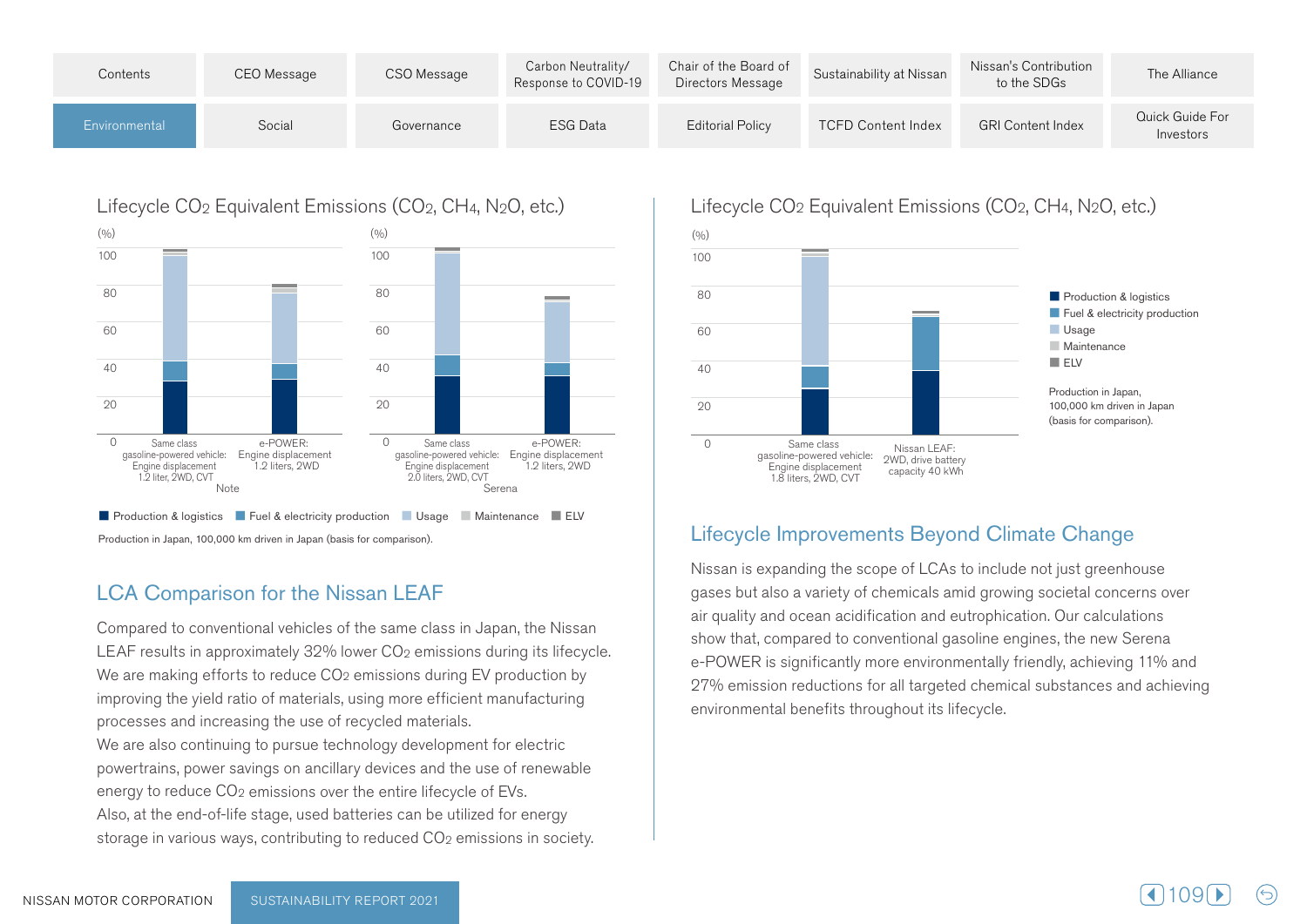| Contents      | CEO Message | CSO Message | Carbon Neutrality/<br>Response to COVID-19 | Chair of the Board of<br>Directors Message | Sustainability at Nissan  | Nissan's Contribution<br>to the SDGs | The Alliance                 |
|---------------|-------------|-------------|--------------------------------------------|--------------------------------------------|---------------------------|--------------------------------------|------------------------------|
| Environmental | Social      | Governance  | ESG Data                                   | <b>Editorial Policy</b>                    | <b>TCFD Content Index</b> | <b>GRI Content Index</b>             | Quick Guide For<br>Investors |

### Lifecycle  $CO<sub>2</sub>$  Equivalent Emissions ( $CO<sub>2</sub>$ , CH<sub>4</sub>, N<sub>2</sub>O, etc.)



Production in Japan, 100,000 km driven in Japan (basis for comparison).

#### **LCA Comparison for the Nissan LEAF**

Compared to conventional vehicles of the same class in Japan, the Nissan LEAF results in approximately  $32\%$  lower  $CO<sub>2</sub>$  emissions during its lifecycle. We are making efforts to reduce  $CO<sub>2</sub>$  emissions during EV production by improving the yield ratio of materials, using more efficient manufacturing processes and increasing the use of recycled materials. We are also continuing to pursue technology development for electric powertrains, power savings on ancillary devices and the use of renewable energy to reduce CO<sub>2</sub> emissions over the entire lifecycle of EVs. Also, at the end-of-life stage, used batteries can be utilized for energy storage in various ways, contributing to reduced CO<sub>2</sub> emissions in society.

#### Lifecycle CO<sub>2</sub> Equivalent Emissions (CO<sub>2</sub>, CH<sub>4</sub>, N<sub>2</sub>O, etc.)



#### Lifecycle Improvements Beyond Climate Change

Nissan is expanding the scope of LCAs to include not just greenhouse gases but also a variety of chemicals amid growing societal concerns over air quality and ocean acidification and eutrophication. Our calculations show that, compared to conventional gasoline engines, the new Serena e-POWER is significantly more environmentally friendly, achieving 11% and 27% emission reductions for all targeted chemical substances and achieving environmental benefits throughout its lifecycle.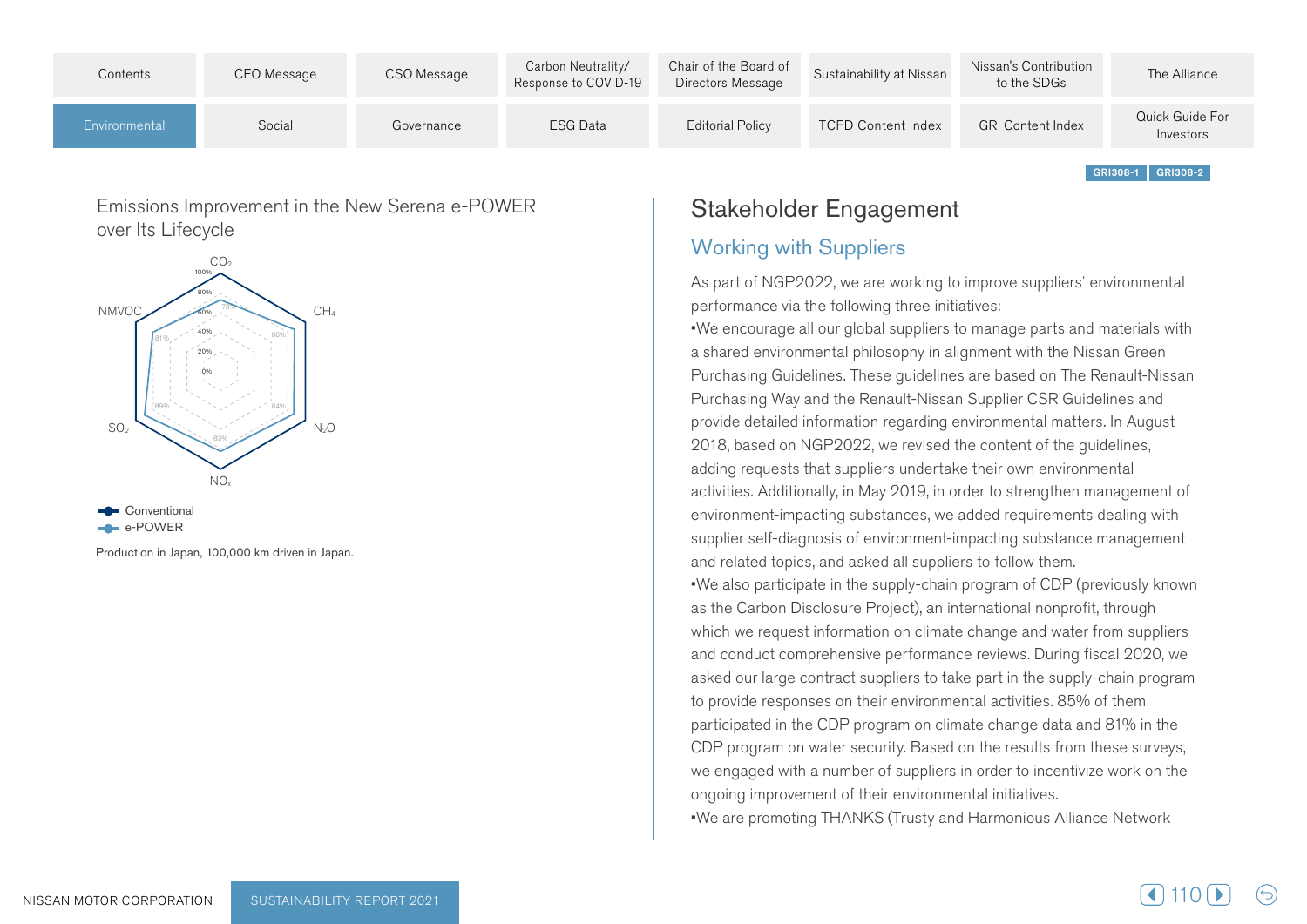| Contents      | CEO Message | CSO Message | Carbon Neutrality/<br>Response to COVID-19 | Chair of the Board of<br>Directors Message | Sustainability at Nissan  | Nissan's Contribution<br>to the SDGs | The Alliance                 |
|---------------|-------------|-------------|--------------------------------------------|--------------------------------------------|---------------------------|--------------------------------------|------------------------------|
| Environmental | Social      | Governance  | <b>ESG Data</b>                            | <b>Editorial Policy</b>                    | <b>TCFD Content Index</b> | <b>GRI Content Index</b>             | Quick Guide For<br>Investors |

Emissions Improvement in the New Serena e-POWER over Its Lifecycle



Production in Japan, 100,000 km driven in Japan.

## Stakeholder Engagement

#### **Working with Suppliers**

As part of NGP2022, we are working to improve suppliers' environmental performance via the following three initiatives:

. We encourage all our global suppliers to manage parts and materials with a shared environmental philosophy in alignment with the Nissan Green Purchasing Guidelines. These quidelines are based on The Renault-Nissan Purchasing Way and the Renault-Nissan Supplier CSR Guidelines and provide detailed information regarding environmental matters. In August 2018, based on NGP2022, we revised the content of the guidelines, adding requests that suppliers undertake their own environmental activities. Additionally, in May 2019, in order to strengthen management of environment-impacting substances, we added requirements dealing with supplier self-diagnosis of environment-impacting substance management and related topics, and asked all suppliers to follow them. •We also participate in the supply-chain program of CDP (previously known as the Carbon Disclosure Project), an international nonprofit, through which we request information on climate change and water from suppliers and conduct comprehensive performance reviews. During fiscal 2020, we asked our large contract suppliers to take part in the supply-chain program to provide responses on their environmental activities. 85% of them participated in the CDP program on climate change data and 81% in the CDP program on water security. Based on the results from these surveys, we engaged with a number of suppliers in order to incentivize work on the ongoing improvement of their environmental initiatives. • We are promoting THANKS (Trusty and Harmonious Alliance Network

GRI308-1 GRI308-2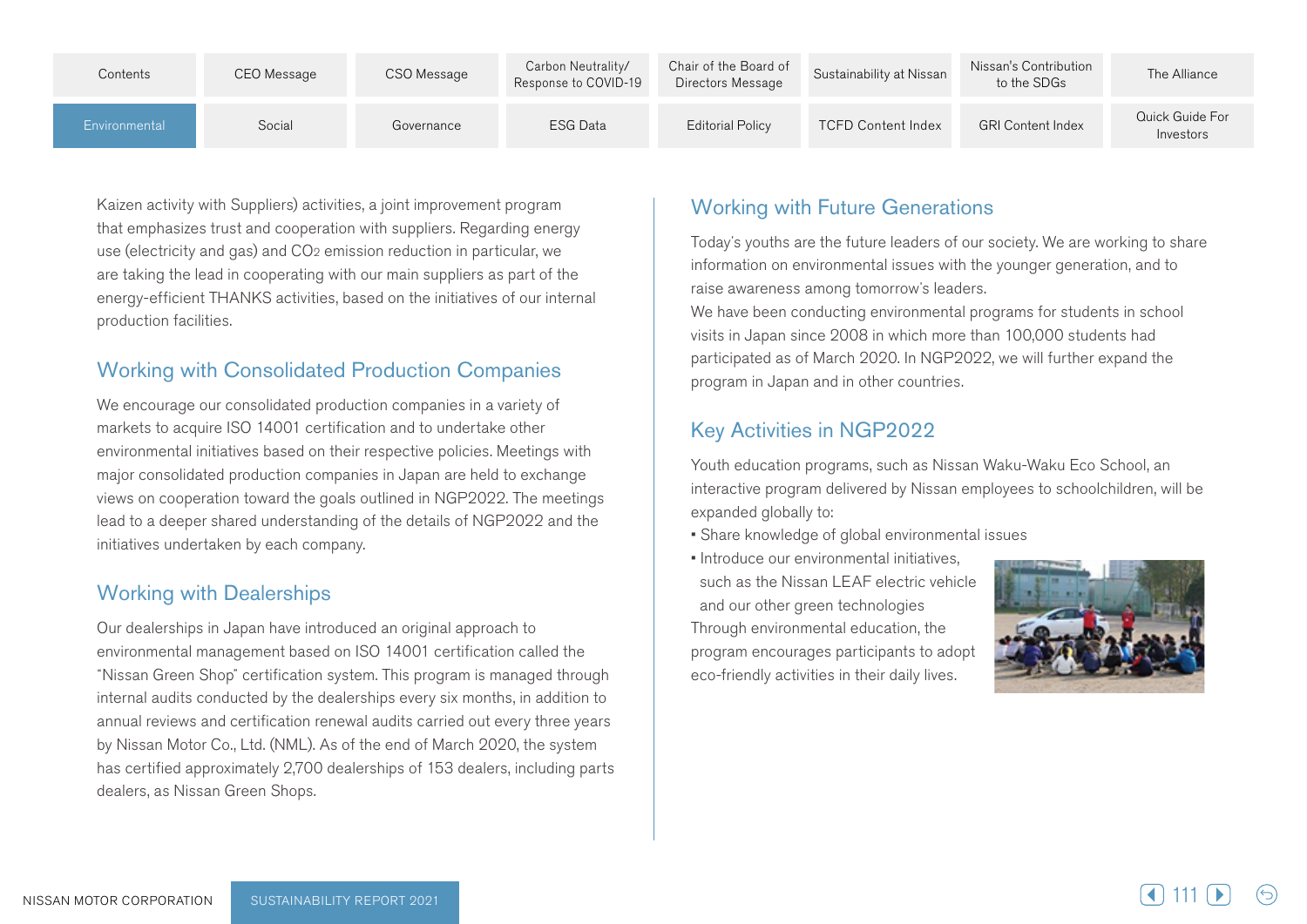| Contents      | CEO Message | CSO Message | Carbon Neutrality/<br>Response to COVID-19 | Chair of the Board of<br>Directors Message | Sustainability at Nissan  | Nissan's Contribution<br>to the SDGs | The Alliance                 |
|---------------|-------------|-------------|--------------------------------------------|--------------------------------------------|---------------------------|--------------------------------------|------------------------------|
| Environmental | Social      | Governance  | ESG Data                                   | <b>Editorial Policy</b>                    | <b>TCFD Content Index</b> | <b>GRI Content Index</b>             | Quick Guide For<br>Investors |

Kaizen activity with Suppliers) activities, a joint improvement program that emphasizes trust and cooperation with suppliers. Regarding energy use (electricity and gas) and CO<sub>2</sub> emission reduction in particular, we are taking the lead in cooperating with our main suppliers as part of the energy-efficient THANKS activities, based on the initiatives of our internal production facilities.

### Working with Consolidated Production Companies

We encourage our consolidated production companies in a variety of markets to acquire ISO 14001 certification and to undertake other environmental initiatives based on their respective policies. Meetings with major consolidated production companies in Japan are held to exchange views on cooperation toward the goals outlined in NGP2022. The meetings lead to a deeper shared understanding of the details of NGP2022 and the initiatives undertaken by each company.

#### **Working with Dealerships**

Our dealerships in Japan have introduced an original approach to environmental management based on ISO 14001 certification called the "Nissan Green Shop" certification system. This program is managed through internal audits conducted by the dealerships every six months, in addition to annual reviews and certification renewal audits carried out every three years by Nissan Motor Co., Ltd. (NML). As of the end of March 2020, the system has certified approximately 2,700 dealerships of 153 dealers, including parts dealers, as Nissan Green Shops.

## **Working with Future Generations**

Today's youths are the future leaders of our society. We are working to share information on environmental issues with the younger generation, and to raise awareness among tomorrow's leaders.

We have been conducting environmental programs for students in school visits in Japan since 2008 in which more than 100,000 students had participated as of March 2020. In NGP 2022, we will further expand the program in Japan and in other countries.

## Key Activities in NGP2022

Youth education programs, such as Nissan Waku-Waku Eco School, an interactive program delivered by Nissan employees to schoolchildren, will be expanded globally to:

- Share knowledge of global environmental issues
- Introduce our environmental initiatives. such as the Nissan LEAF electric vehicle and our other green technologies Through environmental education, the program encourages participants to adopt eco-friendly activities in their daily lives.

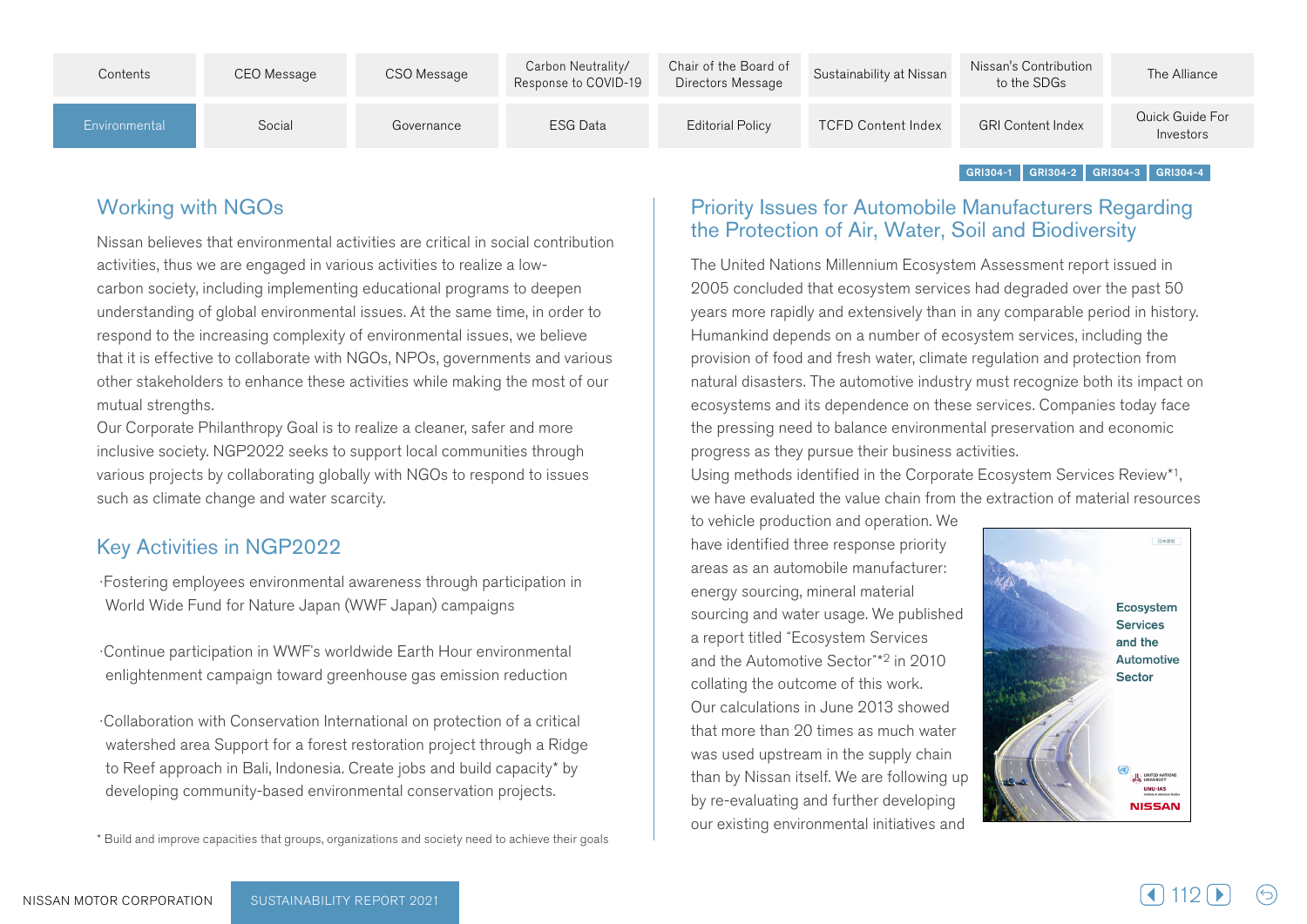| Contents      | CEO Message | CSO Message | Carbon Neutrality/<br>Response to COVID-19 | Chair of the Board of<br>Directors Message | Sustainability at Nissan  | Nissan's Contribution<br>to the SDGs | The Alliance                 |
|---------------|-------------|-------------|--------------------------------------------|--------------------------------------------|---------------------------|--------------------------------------|------------------------------|
| Environmental | Social      | Governance  | ESG Data                                   | <b>Editorial Policy</b>                    | <b>TCFD Content Index</b> | <b>GRI Content Index</b>             | Quick Guide For<br>Investors |

 $GRI 304-1$  GRI 304-2 GRI 304-3 GRI 304-4

## **Working with NGOs**

Nissan believes that environmental activities are critical in social contribution carbon society, including implementing educational programs to deepen activities, thus we are engaged in various activities to realize a lowunderstanding of global environmental issues. At the same time, in order to respond to the increasing complexity of environmental issues, we believe that it is effective to collaborate with NGOs, NPOs, governments and various other stakeholders to enhance these activities while making the most of our mutual strengths.

Our Corporate Philanthropy Goal is to realize a cleaner, safer and more inclusive society. NGP2022 seeks to support local communities through various projects by collaborating globally with NGOs to respond to issues such as climate change and water scarcity.

#### Key Activities in NGP2022

: Fostering employees environmental awareness through participation in World Wide Fund for Nature Japan (WWF Japan) campaigns

Continue participation in WWF's worldwide Earth Hour environmental enlightenment campaign toward greenhouse gas emission reduction

Collaboration with Conservation International on protection of a critical watershed area Support for a forest restoration project through a Ridge to Reef approach in Bali, Indonesia. Create jobs and build capacity\* by developing community-based environmental conservation projects.

\* Build and improve capacities that groups, organizations and society need to achieve their goals

#### Priority Issues for Automobile Manufacturers Regarding the Protection of Air, Water, Soil and Biodiversity

The United Nations Millennium Ecosystem Assessment report issued in 2005 concluded that ecosystem services had degraded over the past 50 years more rapidly and extensively than in any comparable period in history. Humankind depends on a number of ecosystem services, including the provision of food and fresh water, climate regulation and protection from natural disasters. The automotive industry must recognize both its impact on ecosystems and its dependence on these services. Companies today face the pressing need to balance environmental preservation and economic progress as they pursue their business activities.

Using methods identified in the Corporate Ecosystem Services Review<sup>\*1</sup>. we have evaluated the value chain from the extraction of material resources

to vehicle production and operation. We have identified three response priority areas as an automobile manufacturer: energy sourcing, mineral material sourcing and water usage. We published a report titled "Ecosystem Services and the Automotive Sector"\*<sup>2</sup> in 2010 collating the outcome of this work. Our calculations in June 2013 showed that more than 20 times as much water was used upstream in the supply chain than by Nissan itself. We are following up by re-evaluating and further developing our existing environmental initiatives and